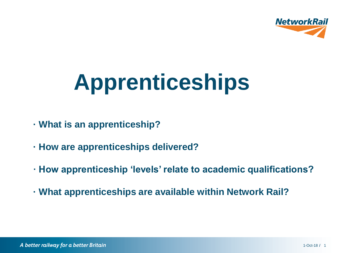

# **Apprenticeships**

- **· What is an apprenticeship?**
- **· How are apprenticeships delivered?**
- **· How apprenticeship 'levels' relate to academic qualifications?**
- **· What apprenticeships are available within Network Rail?**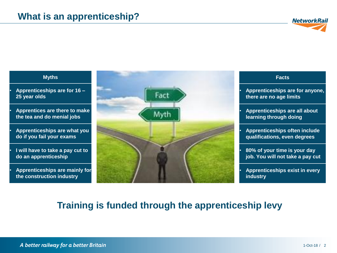

#### **Myths**

• **Apprenticeships are for 16 – 25 year olds**

• **Apprentices are there to make the tea and do menial jobs**

• **Apprenticeships are what you do if you fail your exams**

• **I will have to take a pay cut to do an apprenticeship**

• **Apprenticeships are mainly for the construction industry**



| <b>Facts</b>                                                         |
|----------------------------------------------------------------------|
| Apprenticeships are for anyone,<br>there are no age limits           |
| <b>Apprenticeships are all about</b><br>learning through doing       |
| <b>Apprenticeships often include</b><br>qualifications, even degrees |
| 80% of your time is your day<br>job. You will not take a pay cut     |
| <b>Apprenticeships exist in every</b><br>industry                    |

#### **Training is funded through the apprenticeship levy**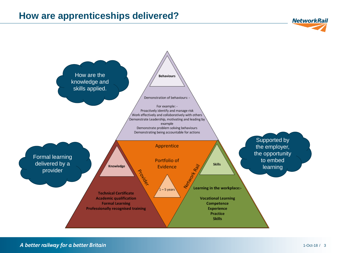### **How are apprenticeships delivered?**



#### A better railway for a better Britain

**NetworkRail**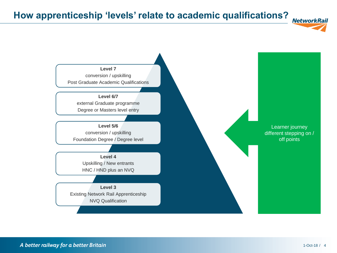## **How apprenticeship 'levels' relate to academic qualifications?**



A better railway for a better Britain

**NetworkRail**